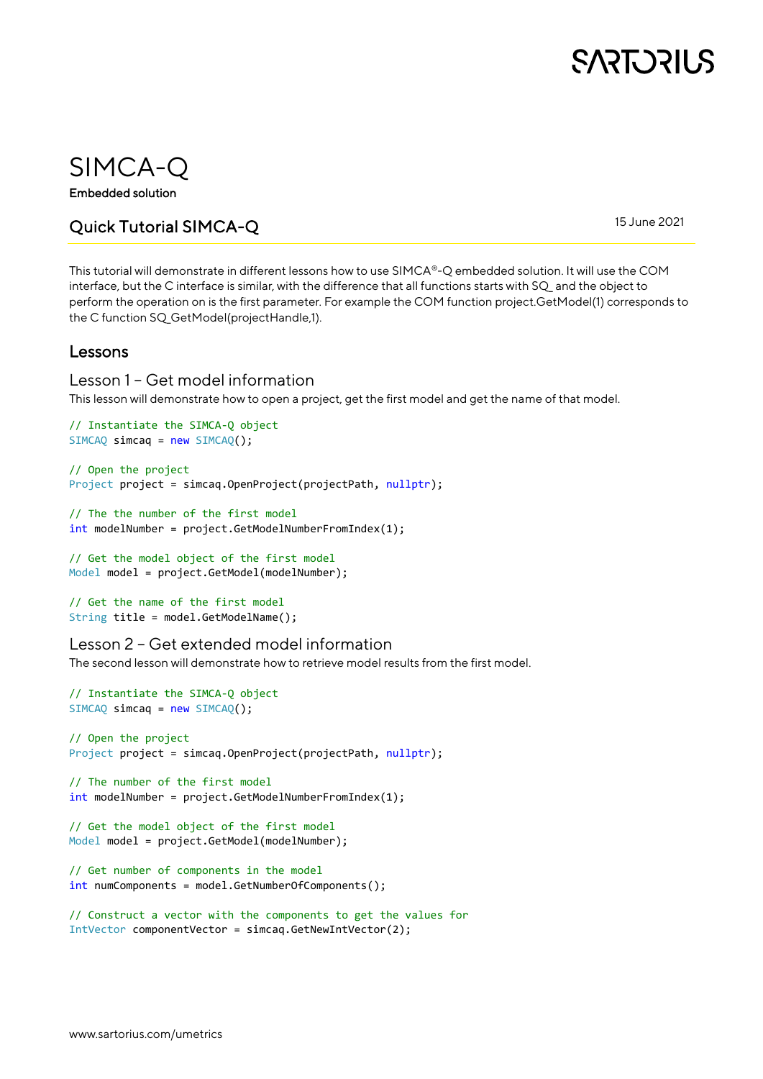

### SIMCA-Q

Embedded solution

### Quick Tutorial SIMCA-Q

15 June 2021

This tutorial will demonstrate in different lessons how to use SIMCA®-Q embedded solution. It will use the COM interface, but the C interface is similar, with the difference that all functions starts with SQ\_ and the object to perform the operation on is the first parameter. For example the COM function project.GetModel(1) corresponds to the C function SQ\_GetModel(projectHandle,1).

### Lessons

#### Lesson 1 – Get model information

This lesson will demonstrate how to open a project, get the first model and get the name of that model.

```
// Instantiate the SIMCA-Q object
SIMCAQ simcaq = new SIMCAQ();
```

```
// Open the project
Project project = simcaq.OpenProject(projectPath, nullptr);
```

```
// The the number of the first model
int modelNumber = project.GetModelNumberFromIndex(1);
```

```
// Get the model object of the first model
Model model = project.GetModel(modelNumber);
```

```
// Get the name of the first model
String title = model.GetModelName();
```
#### Lesson 2 – Get extended model information

The second lesson will demonstrate how to retrieve model results from the first model.

```
// Instantiate the SIMCA-Q object 
SIMCAQ \text{ sincaq} = new SIMCAQ();// Open the project
Project project = simcaq.OpenProject(projectPath, nullptr);
// The number of the first model
int modelNumber = project.GetModelNumberFromIndex(1);
// Get the model object of the first model
Model model = project.GetModel(modelNumber);
// Get number of components in the model
int numComponents = model.GetNumberOfComponents();
```

```
// Construct a vector with the components to get the values for
IntVector componentVector = simcaq.GetNewIntVector(2);
```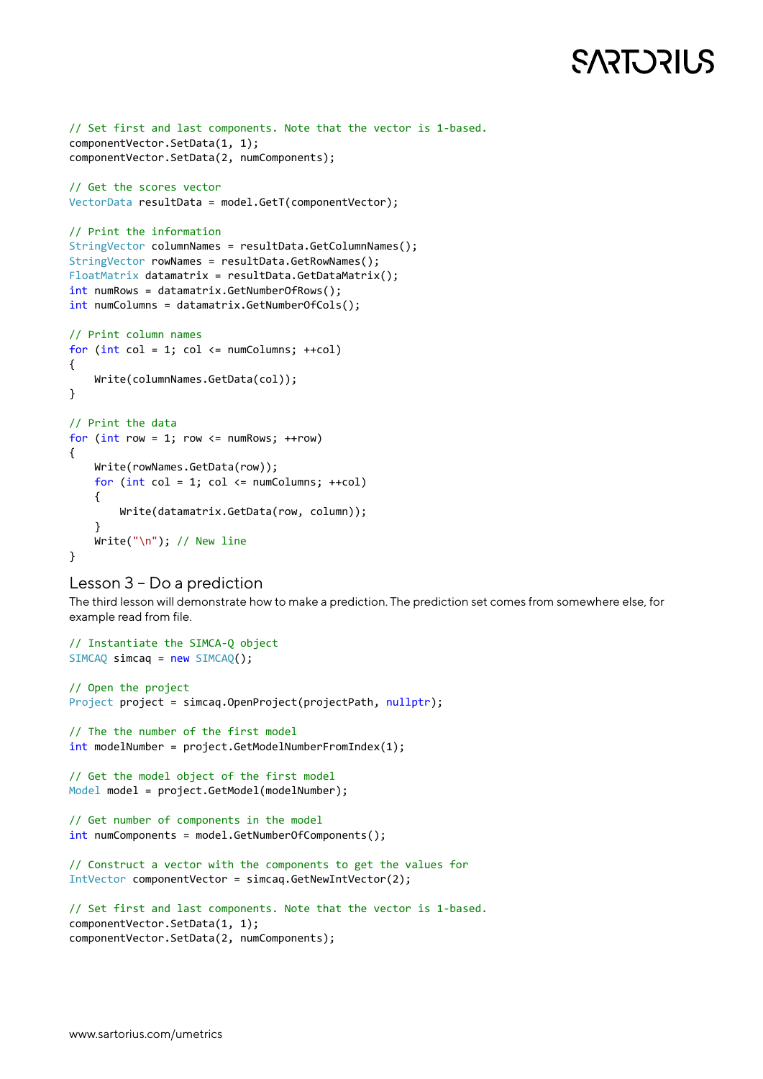# **SART DRILS**

```
// Set first and last components. Note that the vector is 1-based.
componentVector.SetData(1, 1);
componentVector.SetData(2, numComponents);
// Get the scores vector
VectorData resultData = model.GetT(componentVector);
// Print the information
StringVector columnNames = resultData.GetColumnNames();
StringVector rowNames = resultData.GetRowNames();
FloatMatrix datamatrix = resultData.GetDataMatrix();
int numRows = datamatrix.GetNumberOfRows();
int numColumns = datamatrix.GetNumberOfCols();
// Print column names
for (int col = 1; col <= numColumns; ++col){
    Write(columnNames.GetData(col));
}
// Print the data
for (int row = 1; row \le numRows; ++row)
{
     Write(rowNames.GetData(row));
    for (int col = 1; col <= numColumns; +col) {
         Write(datamatrix.GetData(row, column));
 }
     Write("\n"); // New line
}
```

```
Lesson 3 – Do a prediction
```
The third lesson will demonstrate how to make a prediction. The prediction set comes from somewhere else, for example read from file.

```
// Instantiate the SIMCA-Q object 
SIMCAQ simcaq = new SIMCAQ();
// Open the project
Project project = simcaq.OpenProject(projectPath, nullptr);
// The the number of the first model
int modelNumber = project.GetModelNumberFromIndex(1);
// Get the model object of the first model
Model model = project.GetModel(modelNumber);
// Get number of components in the model
int numComponents = model.GetNumberOfComponents();
// Construct a vector with the components to get the values for
IntVector componentVector = simcaq.GetNewIntVector(2);
// Set first and last components. Note that the vector is 1-based.
componentVector.SetData(1, 1);
componentVector.SetData(2, numComponents);
```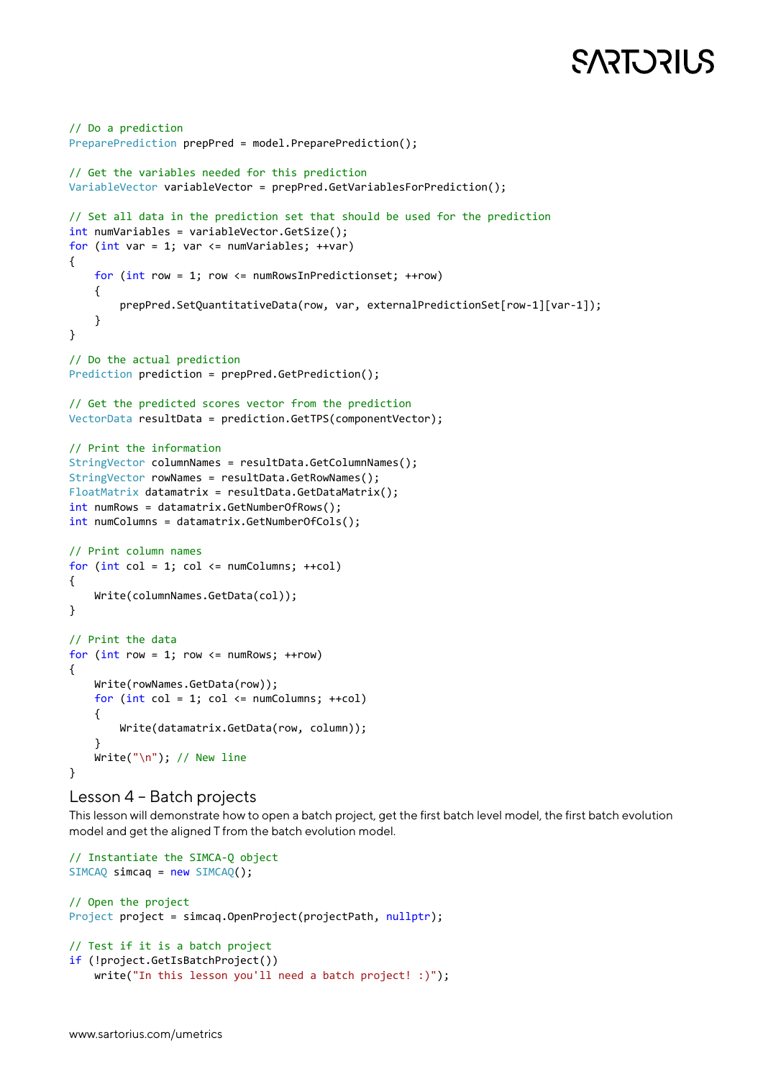# **SART DRILS**

```
// Do a prediction
PreparePrediction prepPred = model.PreparePrediction();
// Get the variables needed for this prediction
VariableVector variableVector = prepPred.GetVariablesForPrediction();
// Set all data in the prediction set that should be used for the prediction
int numVariables = variableVector.GetSize();
for (int var = 1; var <= numVariables; ++var)
{
    for (int row = 1; row \leq numRowsInPredictionset; ++row)
     {
         prepPred.SetQuantitativeData(row, var, externalPredictionSet[row-1][var-1]);
     }
}
// Do the actual prediction
Prediction prediction = prepPred.GetPrediction();
// Get the predicted scores vector from the prediction
VectorData resultData = prediction.GetTPS(componentVector);
// Print the information
StringVector columnNames = resultData.GetColumnNames();
StringVector rowNames = resultData.GetRowNames();
FloatMatrix datamatrix = resultData.GetDataMatrix();
int numRows = datamatrix.GetNumberOfRows();
int numColumns = datamatrix.GetNumberOfCols();
// Print column names
for (int col = 1; col \leq numColumns; ++col)
{
     Write(columnNames.GetData(col));
}
// Print the data
for (int row = 1; row \leq numRows; ++row)
{
    Write(rowNames.GetData(row));
   for (int col = 1; col <= numColumns; ++col) {
         Write(datamatrix.GetData(row, column));
     }
    Write("\n"); // New line
}
```
#### Lesson 4 – Batch projects

This lesson will demonstrate how to open a batch project, get the first batch level model, the first batch evolution model and get the aligned T from the batch evolution model.

```
// Instantiate the SIMCA-Q object 
SIMCAQ simcaq = new SIMCAQ();
// Open the project
Project project = simcaq.OpenProject(projectPath, nullptr);
// Test if it is a batch project
if (!project.GetIsBatchProject())
    write("In this lesson you'll need a batch project! :)");
```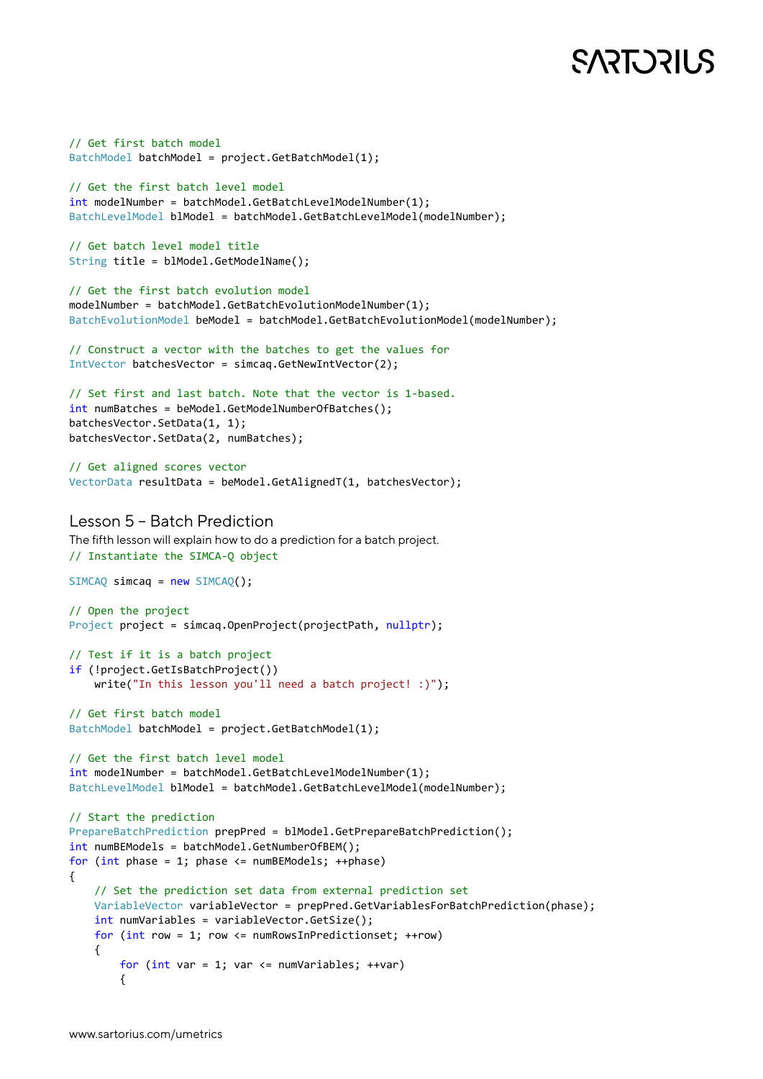# **SART DRILS**

```
// Get first batch model
BatchModel batchModel = project.GetBatchModel(1);
// Get the first batch level model
int modelNumber = batchModel.GetBatchLevelModelNumber(1);
BatchLevelModel blModel = batchModel.GetBatchLevelModel(modelNumber);
// Get batch level model title
String title = blModel.GetModelName();
// Get the first batch evolution model
modelNumber = batchModel.GetBatchEvolutionModelNumber(1);
BatchEvolutionModel beModel = batchModel.GetBatchEvolutionModel(modelNumber);
// Construct a vector with the batches to get the values for
IntVector batchesVector = simcaq.GetNewIntVector(2);
// Set first and last batch. Note that the vector is 1-based.
int numBatches = beModel.GetModelNumberOfBatches();
batchesVector.SetData(1, 1);
batchesVector.SetData(2, numBatches);
// Get aligned scores vector
VectorData resultData = beModel.GetAlignedT(1, batchesVector);
Lesson 5 – Batch Prediction
The fifth lesson will explain how to do a prediction for a batch project.
// Instantiate the SIMCA-Q object 
SIMCAQ simcaq = new SIMCAQ();
// Open the project
Project project = simcaq.OpenProject(projectPath, nullptr);
// Test if it is a batch project
if (!project.GetIsBatchProject())
   write("In this lesson you'll need a batch project! :)");
// Get first batch model
BatchModel batchModel = project.GetBatchModel(1);
// Get the first batch level model
int modelNumber = batchModel.GetBatchLevelModelNumber(1);
BatchLevelModel blModel = batchModel.GetBatchLevelModel(modelNumber);
// Start the prediction
PrepareBatchPrediction prepPred = blModel.GetPrepareBatchPrediction();
int numBEModels = batchModel.GetNumberOfBEM();
for (int phase = 1; phase <= numBEModels; ++phase)
{
     // Set the prediction set data from external prediction set
     VariableVector variableVector = prepPred.GetVariablesForBatchPrediction(phase);
     int numVariables = variableVector.GetSize();
     for (int row = 1; row <= numRowsInPredictionset; ++row)
     {
        for (int var = 1; var <= numVariables; ++var)
         {
```